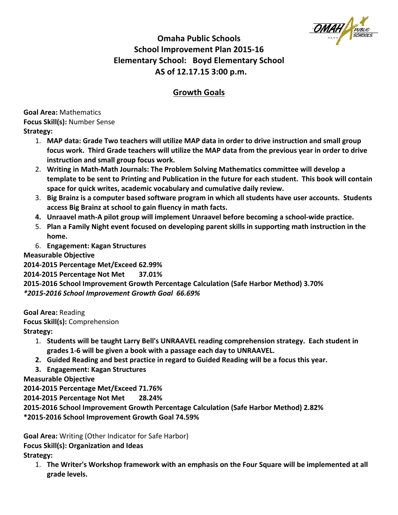# **Omaha Public Schools School Improvement Plan 2015-16 Elementary School: Boyd Elementary School** AS of 12.17.15 3:00 p.m.

## **Growth Goals**

**Goal Area:** Mathematics **Focus Skill(s): Number Sense Strategy:**

- 1. MAP data: Grade Two teachers will utilize MAP data in order to drive instruction and small group focus work. Third Grade teachers will utilize the MAP data from the previous year in order to drive **instruction and small group focus work.**
- 2. Writing in Math-Math Journals: The Problem Solving Mathematics committee will develop a template to be sent to Printing and Publication in the future for each student. This book will contain space for quick writes, academic vocabulary and cumulative daily review.
- 3. Big Brainz is a computer based software program in which all students have user accounts. Students access Big Brainz at school to gain fluency in math facts.
- **4.** Unraavel math-A pilot group will implement Unraavel before becoming a school-wide practice.
- 5. Plan a Family Night event focused on developing parent skills in supporting math instruction in the **home.**
- 6. **Engagement: Kagan Structures**

**Measurable Objective** 

**2014-2015 Percentage Met/Exceed 62.99% 2014-2015 Percentage Not Met 37.01% 2015-2016 School Improvement Growth Percentage Calculation (Safe Harbor Method) 3.70%** *\*2015-2016 School Improvement Growth Goal 66.69%*

**Goal Area:** Reading **Focus Skill(s):** Comprehension **Strategy:**

- 1. Students will be taught Larry Bell's UNRAAVEL reading comprehension strategy. Each student in grades 1-6 will be given a book with a passage each day to UNRAAVEL.
- **2.** Guided Reading and best practice in regard to Guided Reading will be a focus this year.
- **3. Engagement: Kagan Structures**

**Measurable Objective** 

**2014-2015 Percentage Met/Exceed 71.76%**

**2014-2015 Percentage Not Met 28.24%**

**2015-2016 School Improvement Growth Percentage Calculation (Safe Harbor Method) 2.82% \*2015-2016 School Improvement Growth Goal 74.59%**

**Goal Area:** Writing (Other Indicator for Safe Harbor) **Focus Skill(s): Organization and Ideas** Strategy:

1. The Writer's Workshop framework with an emphasis on the Four Square will be implemented at all **grade levels.**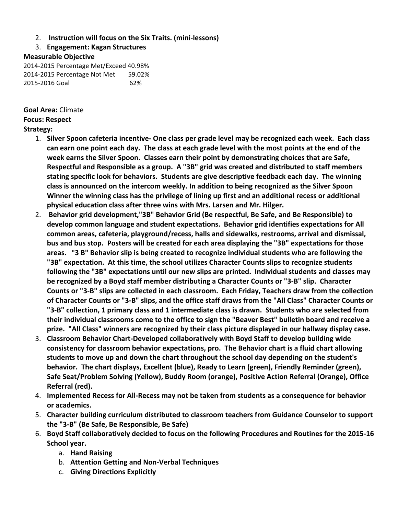#### 2. **Instruction will focus on the Six Traits. (mini-lessons)**

3. **Engagement: Kagan Structures**

#### **Measurable Objective**

2014-2015 Percentage Met/Exceed 40.98% 2014-2015 Percentage Not Met 59.02% 2015-2016 Goal 62%

**Goal Area:** Climate **Focus: Respect Strategy:** 

- 1. Silver Spoon cafeteria incentive- One class per grade level may be recognized each week. Each class can earn one point each day. The class at each grade level with the most points at the end of the week earns the Silver Spoon. Classes earn their point by demonstrating choices that are Safe, Respectful and Responsible as a group. A "3B" grid was created and distributed to staff members stating specific look for behaviors. Students are give descriptive feedback each day. The winning class is announced on the intercom weekly. In addition to being recognized as the Silver Spoon **Winner the winning class has the privilege of lining up first and an additional recess or additional** physical education class after three wins with Mrs. Larsen and Mr. Hilger.
- 2. Behavior grid development,"3B" Behavior Grid (Be respectful, Be Safe, and Be Responsible) to develop common language and student expectations. Behavior grid identifies expectations for All common areas, cafeteria, playground/recess, halls and sidewalks, restrooms, arrival and dismissal, bus and bus stop. Posters will be created for each area displaying the "3B" expectations for those areas. "3 B" Behavior slip is being created to recognize individual students who are following the **"3B"** expectation. At this time, the school utilizes Character Counts slips to recognize students following the "3B" expectations until our new slips are printed. Individual students and classes may be recognized by a Boyd staff member distributing a Character Counts or "3-B" slip. Character Counts or "3-B" slips are collected in each classroom. Each Friday, Teachers draw from the collection of Character Counts or "3-B" slips, and the office staff draws from the "All Class" Character Counts or "3-B" collection, 1 primary class and 1 intermediate class is drawn. Students who are selected from their individual classrooms come to the office to sign the "Beaver Best" bulletin board and receive a prize. "All Class" winners are recognized by their class picture displayed in our hallway display case.
- 3. Classroom Behavior Chart-Developed collaboratively with Boyd Staff to develop building wide consistency for classroom behavior expectations, pro. The Behavior chart is a fluid chart allowing students to move up and down the chart throughout the school day depending on the student's **behavior.** The chart displays, Excellent (blue), Ready to Learn (green), Friendly Reminder (green), Safe Seat/Problem Solving (Yellow), Buddy Room (orange), Positive Action Referral (Orange), Office **Referral** (red).
- 4. **Implemented Recess for All-Recess may not be taken from students as a consequence for behavior or academics.**
- 5. Character building curriculum distributed to classroom teachers from Guidance Counselor to support **the "3-B" (Be Safe, Be Responsible, Be Safe)**
- 6. Boyd Staff collaboratively decided to focus on the following Procedures and Routines for the 2015-16 **School year.**
	- a. **Hand Raising**
	- b. **Attention Getting and Non-Verbal Techniques**
	- c. **Giving Directions Explicitly**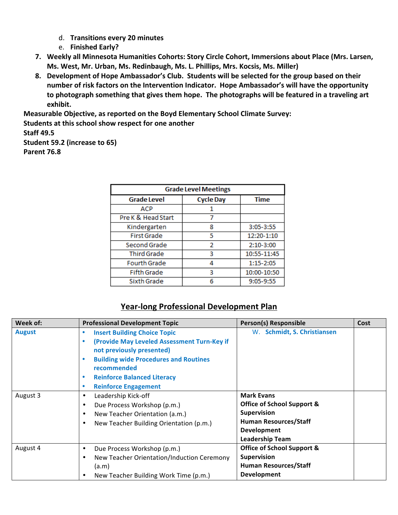- d. **Transitions every 20 minutes**
- e. **Finished Early?**
- 7. Weekly all Minnesota Humanities Cohorts: Story Circle Cohort, Immersions about Place (Mrs. Larsen, Ms. West, Mr. Urban, Ms. Redinbaugh, Ms. L. Phillips, Mrs. Kocsis, Ms. Miller)
- 8. Development of Hope Ambassador's Club. Students will be selected for the group based on their number of risk factors on the Intervention Indicator. Hope Ambassador's will have the opportunity to photograph something that gives them hope. The photographs will be featured in a traveling art **exhibit.**

**Measurable Objective, as reported on the Boyd Elementary School Climate Survey: Students at this school show respect for one another** 

#### **Staff 49.5**

**Student 59.2 (increase to 65) Parent 76.8** 

| <b>Grade Level Meetings</b> |                  |             |
|-----------------------------|------------------|-------------|
| <b>Grade Level</b>          | <b>Cycle Day</b> | <b>Time</b> |
| <b>ACP</b>                  |                  |             |
| Pre K & Head Start          |                  |             |
| Kindergarten                | 8                | 3:05-3:55   |
| <b>First Grade</b>          | 5                | 12:20-1:10  |
| Second Grade                | 2                | 2:10-3:00   |
| <b>Third Grade</b>          | 3                | 10:55-11:45 |
| <b>Fourth Grade</b>         |                  | 1:15-2:05   |
| <b>Fifth Grade</b>          | З                | 10:00-10:50 |
| Sixth Grade                 |                  | 9:05-9:55   |

### **Year-long Professional Development Plan**

| Week of:      | <b>Professional Development Topic</b>                    | Person(s) Responsible                 | Cost |
|---------------|----------------------------------------------------------|---------------------------------------|------|
| <b>August</b> | <b>Insert Building Choice Topic</b><br>۰                 | W. Schmidt, S. Christiansen           |      |
|               | (Provide May Leveled Assessment Turn-Key if<br>$\bullet$ |                                       |      |
|               | not previously presented)                                |                                       |      |
|               | <b>Building wide Procedures and Routines</b><br>۰        |                                       |      |
|               | recommended                                              |                                       |      |
|               | <b>Reinforce Balanced Literacy</b><br>٠                  |                                       |      |
|               | <b>Reinforce Engagement</b><br>۰                         |                                       |      |
| August 3      | Leadership Kick-off<br>$\bullet$                         | <b>Mark Evans</b>                     |      |
|               | Due Process Workshop (p.m.)<br>$\bullet$                 | <b>Office of School Support &amp;</b> |      |
|               | New Teacher Orientation (a.m.)<br>$\bullet$              | <b>Supervision</b>                    |      |
|               | New Teacher Building Orientation (p.m.)<br>$\bullet$     | <b>Human Resources/Staff</b>          |      |
|               |                                                          | <b>Development</b>                    |      |
|               |                                                          | <b>Leadership Team</b>                |      |
| August 4      | Due Process Workshop (p.m.)<br>$\bullet$                 | <b>Office of School Support &amp;</b> |      |
|               | New Teacher Orientation/Induction Ceremony<br>$\bullet$  | <b>Supervision</b>                    |      |
|               | (a.m)                                                    | <b>Human Resources/Staff</b>          |      |
|               | New Teacher Building Work Time (p.m.)<br>$\bullet$       | <b>Development</b>                    |      |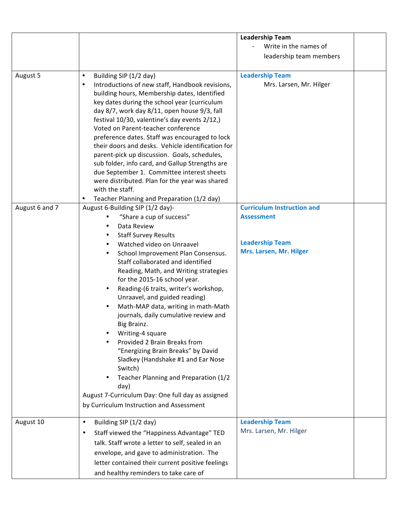|                |                                                                                              | <b>Leadership Team</b>            |
|----------------|----------------------------------------------------------------------------------------------|-----------------------------------|
|                |                                                                                              | Write in the names of             |
|                |                                                                                              | leadership team members           |
|                |                                                                                              |                                   |
| August 5       | Building SIP (1/2 day)<br>$\bullet$                                                          | <b>Leadership Team</b>            |
|                | Introductions of new staff, Handbook revisions,<br>$\bullet$                                 | Mrs. Larsen, Mr. Hilger           |
|                | building hours, Membership dates, Identified                                                 |                                   |
|                | key dates during the school year (curriculum                                                 |                                   |
|                | day 8/7, work day 8/11, open house 9/3, fall                                                 |                                   |
|                | festival 10/30, valentine's day events 2/12,)                                                |                                   |
|                | Voted on Parent-teacher conference                                                           |                                   |
|                | preference dates. Staff was encouraged to lock                                               |                                   |
|                | their doors and desks. Vehicle identification for                                            |                                   |
|                | parent-pick up discussion. Goals, schedules,                                                 |                                   |
|                | sub folder, info card, and Gallup Strengths are                                              |                                   |
|                | due September 1. Committee interest sheets<br>were distributed. Plan for the year was shared |                                   |
|                | with the staff.                                                                              |                                   |
|                | Teacher Planning and Preparation (1/2 day)<br>$\bullet$                                      |                                   |
| August 6 and 7 | August 6-Building SIP (1/2 day)-                                                             | <b>Curriculum Instruction and</b> |
|                | "Share a cup of success"                                                                     | <b>Assessment</b>                 |
|                | Data Review<br>٠                                                                             |                                   |
|                | <b>Staff Survey Results</b><br>٠                                                             |                                   |
|                | Watched video on Unraavel<br>$\bullet$                                                       | <b>Leadership Team</b>            |
|                | School Improvement Plan Consensus.<br>$\bullet$                                              | Mrs. Larsen, Mr. Hilger           |
|                | Staff collaborated and identified                                                            |                                   |
|                | Reading, Math, and Writing strategies                                                        |                                   |
|                | for the 2015-16 school year.                                                                 |                                   |
|                | Reading-(6 traits, writer's workshop,<br>$\bullet$                                           |                                   |
|                | Unraavel, and guided reading)                                                                |                                   |
|                | Math-MAP data, writing in math-Math                                                          |                                   |
|                | journals, daily cumulative review and                                                        |                                   |
|                | Big Brainz.                                                                                  |                                   |
|                | Writing-4 square                                                                             |                                   |
|                | Provided 2 Brain Breaks from                                                                 |                                   |
|                | "Energizing Brain Breaks" by David                                                           |                                   |
|                | Sladkey (Handshake #1 and Ear Nose                                                           |                                   |
|                | Switch)                                                                                      |                                   |
|                | Teacher Planning and Preparation (1/2                                                        |                                   |
|                | day)<br>August 7-Curriculum Day: One full day as assigned                                    |                                   |
|                |                                                                                              |                                   |
|                | by Curriculum Instruction and Assessment                                                     |                                   |
| August 10      | Building SIP (1/2 day)<br>$\bullet$                                                          | <b>Leadership Team</b>            |
|                | Staff viewed the "Happiness Advantage" TED<br>$\bullet$                                      | Mrs. Larsen, Mr. Hilger           |
|                | talk. Staff wrote a letter to self, sealed in an                                             |                                   |
|                | envelope, and gave to administration. The                                                    |                                   |
|                | letter contained their current positive feelings                                             |                                   |
|                |                                                                                              |                                   |
|                | and healthy reminders to take care of                                                        |                                   |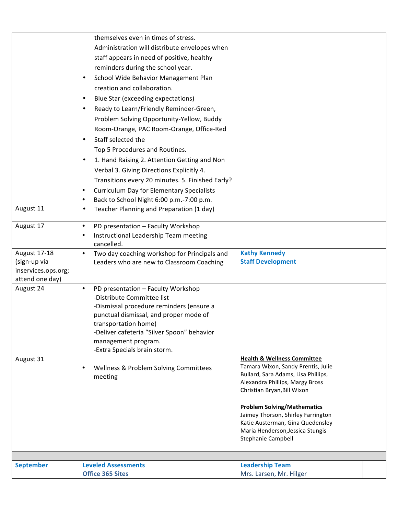|                     | themselves even in times of stress.                                     |                                                                           |  |
|---------------------|-------------------------------------------------------------------------|---------------------------------------------------------------------------|--|
|                     | Administration will distribute envelopes when                           |                                                                           |  |
|                     | staff appears in need of positive, healthy                              |                                                                           |  |
|                     | reminders during the school year.                                       |                                                                           |  |
|                     | School Wide Behavior Management Plan<br>$\bullet$                       |                                                                           |  |
|                     | creation and collaboration.                                             |                                                                           |  |
|                     | Blue Star (exceeding expectations)<br>٠                                 |                                                                           |  |
|                     | Ready to Learn/Friendly Reminder-Green,<br>$\bullet$                    |                                                                           |  |
|                     | Problem Solving Opportunity-Yellow, Buddy                               |                                                                           |  |
|                     | Room-Orange, PAC Room-Orange, Office-Red                                |                                                                           |  |
|                     | Staff selected the<br>$\bullet$                                         |                                                                           |  |
|                     | Top 5 Procedures and Routines.                                          |                                                                           |  |
|                     | 1. Hand Raising 2. Attention Getting and Non<br>$\bullet$               |                                                                           |  |
|                     | Verbal 3. Giving Directions Explicitly 4.                               |                                                                           |  |
|                     | Transitions every 20 minutes. 5. Finished Early?                        |                                                                           |  |
|                     | <b>Curriculum Day for Elementary Specialists</b><br>$\bullet$           |                                                                           |  |
|                     | Back to School Night 6:00 p.m.-7:00 p.m.<br>$\bullet$                   |                                                                           |  |
| August 11           | Teacher Planning and Preparation (1 day)<br>$\bullet$                   |                                                                           |  |
|                     |                                                                         |                                                                           |  |
| August 17           | PD presentation - Faculty Workshop<br>$\bullet$                         |                                                                           |  |
|                     | Instructional Leadership Team meeting<br>$\bullet$                      |                                                                           |  |
| August 17-18        | cancelled.<br>Two day coaching workshop for Principals and<br>$\bullet$ | <b>Kathy Kennedy</b>                                                      |  |
| (sign-up via        | Leaders who are new to Classroom Coaching                               | <b>Staff Development</b>                                                  |  |
| inservices.ops.org; |                                                                         |                                                                           |  |
| attend one day)     |                                                                         |                                                                           |  |
| August 24           | PD presentation - Faculty Workshop<br>$\bullet$                         |                                                                           |  |
|                     | -Distribute Committee list                                              |                                                                           |  |
|                     | -Dismissal procedure reminders (ensure a                                |                                                                           |  |
|                     | punctual dismissal, and proper mode of<br>transportation home)          |                                                                           |  |
|                     | -Deliver cafeteria "Silver Spoon" behavior                              |                                                                           |  |
|                     | management program.                                                     |                                                                           |  |
|                     | -Extra Specials brain storm.                                            |                                                                           |  |
| August 31           |                                                                         | <b>Health &amp; Wellness Committee</b>                                    |  |
|                     | Wellness & Problem Solving Committees<br>$\bullet$                      | Tamara Wixon, Sandy Prentis, Julie<br>Bullard, Sara Adams, Lisa Phillips, |  |
|                     | meeting                                                                 | Alexandra Phillips, Margy Bross                                           |  |
|                     |                                                                         | Christian Bryan, Bill Wixon                                               |  |
|                     |                                                                         |                                                                           |  |
|                     |                                                                         | <b>Problem Solving/Mathematics</b><br>Jaimey Thorson, Shirley Farrington  |  |
|                     |                                                                         | Katie Austerman, Gina Quedensley                                          |  |
|                     |                                                                         | Maria Henderson, Jessica Stungis                                          |  |
|                     |                                                                         | Stephanie Campbell                                                        |  |
|                     |                                                                         |                                                                           |  |
| <b>September</b>    | <b>Leveled Assessments</b>                                              | <b>Leadership Team</b>                                                    |  |
|                     | <b>Office 365 Sites</b>                                                 | Mrs. Larsen, Mr. Hilger                                                   |  |
|                     |                                                                         |                                                                           |  |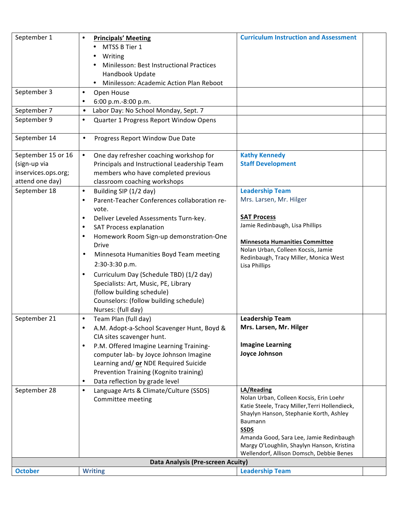| September 1         | <b>Principals' Meeting</b><br>$\bullet$                                         | <b>Curriculum Instruction and Assessment</b>           |
|---------------------|---------------------------------------------------------------------------------|--------------------------------------------------------|
|                     | MTSS B Tier 1                                                                   |                                                        |
|                     | Writing                                                                         |                                                        |
|                     | Minilesson: Best Instructional Practices                                        |                                                        |
|                     | Handbook Update                                                                 |                                                        |
|                     | Minilesson: Academic Action Plan Reboot<br>$\bullet$                            |                                                        |
| September 3         | Open House<br>$\bullet$                                                         |                                                        |
|                     | 6:00 p.m.-8:00 p.m.<br>$\bullet$                                                |                                                        |
| September 7         | Labor Day: No School Monday, Sept. 7<br>$\bullet$                               |                                                        |
| September 9         | Quarter 1 Progress Report Window Opens<br>$\bullet$                             |                                                        |
|                     |                                                                                 |                                                        |
| September 14        | Progress Report Window Due Date<br>$\bullet$                                    |                                                        |
| September 15 or 16  | One day refresher coaching workshop for<br>$\bullet$                            | <b>Kathy Kennedy</b>                                   |
| (sign-up via        | Principals and Instructional Leadership Team                                    | <b>Staff Development</b>                               |
| inservices.ops.org; | members who have completed previous                                             |                                                        |
| attend one day)     | classroom coaching workshops                                                    |                                                        |
| September 18        | Building SIP (1/2 day)<br>$\bullet$                                             | <b>Leadership Team</b>                                 |
|                     | Parent-Teacher Conferences collaboration re-<br>$\bullet$                       | Mrs. Larsen, Mr. Hilger                                |
|                     | vote.                                                                           |                                                        |
|                     | Deliver Leveled Assessments Turn-key.<br>$\bullet$                              | <b>SAT Process</b>                                     |
|                     | <b>SAT Process explanation</b><br>$\bullet$                                     | Jamie Redinbaugh, Lisa Phillips                        |
|                     | Homework Room Sign-up demonstration-One<br>$\bullet$                            | <b>Minnesota Humanities Committee</b>                  |
|                     | <b>Drive</b>                                                                    | Nolan Urban, Colleen Kocsis, Jamie                     |
|                     | Minnesota Humanities Boyd Team meeting<br>$\bullet$                             | Redinbaugh, Tracy Miller, Monica West                  |
|                     | 2:30-3:30 p.m.                                                                  | Lisa Phillips                                          |
|                     | Curriculum Day (Schedule TBD) (1/2 day)<br>$\bullet$                            |                                                        |
|                     | Specialists: Art, Music, PE, Library                                            |                                                        |
|                     | (follow building schedule)                                                      |                                                        |
|                     | Counselors: (follow building schedule)                                          |                                                        |
|                     | Nurses: (full day)                                                              |                                                        |
| September 21        | Team Plan (full day)<br>$\bullet$                                               | <b>Leadership Team</b>                                 |
|                     | A.M. Adopt-a-School Scavenger Hunt, Boyd &<br>$\bullet$                         | Mrs. Larsen, Mr. Hilger                                |
|                     | CIA sites scavenger hunt.                                                       |                                                        |
|                     | P.M. Offered Imagine Learning Training-<br>$\bullet$                            | <b>Imagine Learning</b><br>Joyce Johnson               |
|                     | computer lab- by Joyce Johnson Imagine                                          |                                                        |
|                     | Learning and/ or NDE Required Suicide<br>Prevention Training (Kognito training) |                                                        |
|                     | Data reflection by grade level<br>$\bullet$                                     |                                                        |
| September 28        | Language Arts & Climate/Culture (SSDS)<br>$\bullet$                             | LA/Reading                                             |
|                     | Committee meeting                                                               | Nolan Urban, Colleen Kocsis, Erin Loehr                |
|                     |                                                                                 | Katie Steele, Tracy Miller, Terri Hollendieck,         |
|                     |                                                                                 | Shaylyn Hanson, Stephanie Korth, Ashley                |
|                     |                                                                                 | Baumann                                                |
|                     |                                                                                 | <b>SSDS</b><br>Amanda Good, Sara Lee, Jamie Redinbaugh |
|                     |                                                                                 | Margy O'Loughlin, Shaylyn Hanson, Kristina             |
|                     |                                                                                 | Wellendorf, Allison Domsch, Debbie Benes               |
|                     | Data Analysis (Pre-screen Acuity)                                               |                                                        |
| <b>October</b>      | <b>Writing</b>                                                                  | <b>Leadership Team</b>                                 |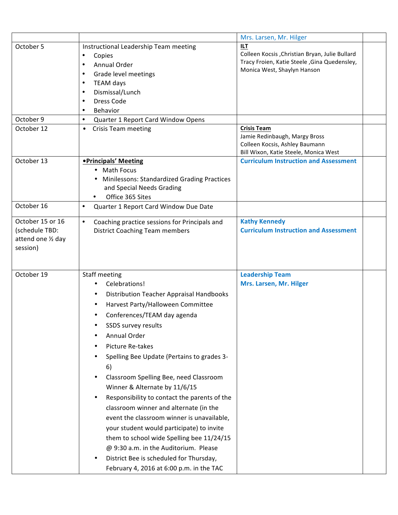|                                                                      |                                                                                                                                                                                                                                                                                                                                                                                                                                                                                                                                                                                                                                                                                                                                      | Mrs. Larsen, Mr. Hilger                                                                                                                      |  |
|----------------------------------------------------------------------|--------------------------------------------------------------------------------------------------------------------------------------------------------------------------------------------------------------------------------------------------------------------------------------------------------------------------------------------------------------------------------------------------------------------------------------------------------------------------------------------------------------------------------------------------------------------------------------------------------------------------------------------------------------------------------------------------------------------------------------|----------------------------------------------------------------------------------------------------------------------------------------------|--|
| October 5<br>October 9                                               | Instructional Leadership Team meeting<br>Copies<br>$\bullet$<br>Annual Order<br>$\bullet$<br>Grade level meetings<br>$\bullet$<br>TEAM days<br>٠<br>Dismissal/Lunch<br>$\bullet$<br>Dress Code<br>$\bullet$<br>Behavior<br>$\bullet$<br>$\bullet$<br>Quarter 1 Report Card Window Opens                                                                                                                                                                                                                                                                                                                                                                                                                                              | <b>ILT</b><br>Colleen Kocsis , Christian Bryan, Julie Bullard<br>Tracy Froien, Katie Steele, Gina Quedensley,<br>Monica West, Shaylyn Hanson |  |
| October 12                                                           | <b>Crisis Team meeting</b><br>$\bullet$                                                                                                                                                                                                                                                                                                                                                                                                                                                                                                                                                                                                                                                                                              | <b>Crisis Team</b><br>Jamie Redinbaugh, Margy Bross<br>Colleen Kocsis, Ashley Baumann<br>Bill Wixon, Katie Steele, Monica West               |  |
| October 13                                                           | <b>•Principals' Meeting</b><br><b>Math Focus</b><br><b>Minilessons: Standardized Grading Practices</b><br>and Special Needs Grading<br>Office 365 Sites<br>$\bullet$                                                                                                                                                                                                                                                                                                                                                                                                                                                                                                                                                                 | <b>Curriculum Instruction and Assessment</b>                                                                                                 |  |
| October 16                                                           | Quarter 1 Report Card Window Due Date<br>$\bullet$                                                                                                                                                                                                                                                                                                                                                                                                                                                                                                                                                                                                                                                                                   |                                                                                                                                              |  |
| October 15 or 16<br>(schedule TBD:<br>attend one 1/2 day<br>session) | $\bullet$<br>Coaching practice sessions for Principals and<br><b>District Coaching Team members</b>                                                                                                                                                                                                                                                                                                                                                                                                                                                                                                                                                                                                                                  | <b>Kathy Kennedy</b><br><b>Curriculum Instruction and Assessment</b>                                                                         |  |
| October 19                                                           | Staff meeting<br>Celebrations!<br>Distribution Teacher Appraisal Handbooks<br>Harvest Party/Halloween Committee<br>$\bullet$<br>Conferences/TEAM day agenda<br>SSDS survey results<br>Annual Order<br>Picture Re-takes<br>Spelling Bee Update (Pertains to grades 3-<br>6)<br>Classroom Spelling Bee, need Classroom<br>Winner & Alternate by 11/6/15<br>Responsibility to contact the parents of the<br>$\bullet$<br>classroom winner and alternate (in the<br>event the classroom winner is unavailable,<br>your student would participate) to invite<br>them to school wide Spelling bee 11/24/15<br>@ 9:30 a.m. in the Auditorium. Please<br>District Bee is scheduled for Thursday,<br>February 4, 2016 at 6:00 p.m. in the TAC | <b>Leadership Team</b><br>Mrs. Larsen, Mr. Hilger                                                                                            |  |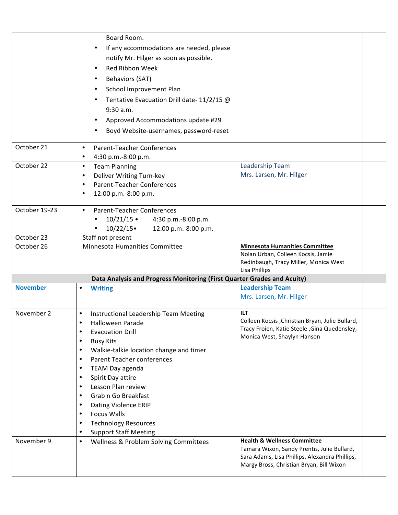|                 | Board Room.                                                                             |                                                                             |
|-----------------|-----------------------------------------------------------------------------------------|-----------------------------------------------------------------------------|
|                 | If any accommodations are needed, please                                                |                                                                             |
|                 | notify Mr. Hilger as soon as possible.                                                  |                                                                             |
|                 | Red Ribbon Week                                                                         |                                                                             |
|                 | ٠                                                                                       |                                                                             |
|                 | <b>Behaviors (SAT)</b>                                                                  |                                                                             |
|                 | School Improvement Plan                                                                 |                                                                             |
|                 | Tentative Evacuation Drill date- 11/2/15 @                                              |                                                                             |
|                 | 9:30 a.m.                                                                               |                                                                             |
|                 | Approved Accommodations update #29                                                      |                                                                             |
|                 | Boyd Website-usernames, password-reset                                                  |                                                                             |
| October 21      | <b>Parent-Teacher Conferences</b><br>$\bullet$                                          |                                                                             |
|                 | 4:30 p.m.-8:00 p.m.<br>$\bullet$                                                        |                                                                             |
| October 22      | <b>Team Planning</b><br>$\bullet$                                                       | Leadership Team<br>Mrs. Larsen, Mr. Hilger                                  |
|                 | Deliver Writing Turn-key<br>$\bullet$<br><b>Parent-Teacher Conferences</b><br>$\bullet$ |                                                                             |
|                 | 12:00 p.m.-8:00 p.m.<br>$\bullet$                                                       |                                                                             |
|                 |                                                                                         |                                                                             |
| October 19-23   | <b>Parent-Teacher Conferences</b><br>$\bullet$                                          |                                                                             |
|                 | $10/21/15$ •<br>4:30 p.m.-8:00 p.m.                                                     |                                                                             |
|                 | 10/22/15<br>12:00 p.m.-8:00 p.m.                                                        |                                                                             |
| October 23      | Staff not present                                                                       |                                                                             |
| October 26      | Minnesota Humanities Committee                                                          | <b>Minnesota Humanities Committee</b>                                       |
|                 |                                                                                         | Nolan Urban, Colleen Kocsis, Jamie<br>Redinbaugh, Tracy Miller, Monica West |
|                 |                                                                                         | Lisa Phillips                                                               |
|                 | Data Analysis and Progress Monitoring (First Quarter Grades and Acuity)                 |                                                                             |
| <b>November</b> | <b>Writing</b>                                                                          | <b>Leadership Team</b>                                                      |
|                 |                                                                                         | Mrs. Larsen, Mr. Hilger                                                     |
| November 2      | Instructional Leadership Team Meeting                                                   | <b>ILT</b>                                                                  |
|                 | Halloween Parade<br>$\bullet$                                                           | Colleen Kocsis, Christian Bryan, Julie Bullard,                             |
|                 | <b>Evacuation Drill</b><br>$\bullet$                                                    | Tracy Froien, Katie Steele, Gina Quedensley,<br>Monica West, Shaylyn Hanson |
|                 | <b>Busy Kits</b><br>$\bullet$                                                           |                                                                             |
|                 | Walkie-talkie location change and timer<br>$\bullet$                                    |                                                                             |
|                 | <b>Parent Teacher conferences</b>                                                       |                                                                             |
|                 | TEAM Day agenda                                                                         |                                                                             |
|                 | Spirit Day attire<br>$\bullet$                                                          |                                                                             |
|                 | Lesson Plan review                                                                      |                                                                             |
|                 | Grab n Go Breakfast                                                                     |                                                                             |
|                 | Dating Violence ERIP<br>$\bullet$<br><b>Focus Walls</b>                                 |                                                                             |
|                 | <b>Technology Resources</b>                                                             |                                                                             |
|                 | <b>Support Staff Meeting</b>                                                            |                                                                             |
| November 9      | Wellness & Problem Solving Committees<br>$\bullet$                                      | <b>Health &amp; Wellness Committee</b>                                      |
|                 |                                                                                         | Tamara Wixon, Sandy Prentis, Julie Bullard,                                 |
|                 |                                                                                         | Sara Adams, Lisa Phillips, Alexandra Phillips,                              |
|                 |                                                                                         | Margy Bross, Christian Bryan, Bill Wixon                                    |
|                 |                                                                                         |                                                                             |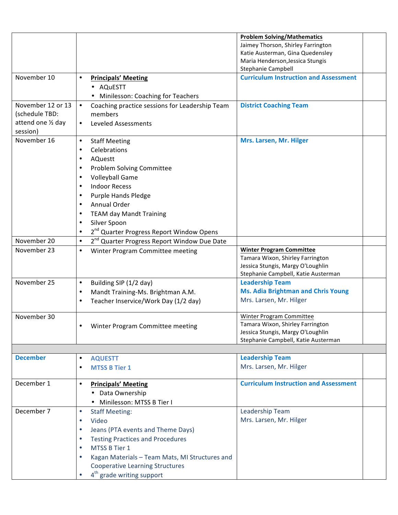|                    |                                                             | <b>Problem Solving/Mathematics</b>           |
|--------------------|-------------------------------------------------------------|----------------------------------------------|
|                    |                                                             | Jaimey Thorson, Shirley Farrington           |
|                    |                                                             | Katie Austerman, Gina Quedensley             |
|                    |                                                             | Maria Henderson, Jessica Stungis             |
|                    |                                                             | Stephanie Campbell                           |
| November 10        | <b>Principals' Meeting</b><br>$\bullet$                     | <b>Curriculum Instruction and Assessment</b> |
|                    | • AQuESTT                                                   |                                              |
|                    | • Minilesson: Coaching for Teachers                         |                                              |
| November 12 or 13  | $\bullet$<br>Coaching practice sessions for Leadership Team | <b>District Coaching Team</b>                |
| (schedule TBD:     | members                                                     |                                              |
| attend one 1/2 day | <b>Leveled Assessments</b><br>$\bullet$                     |                                              |
| session)           |                                                             |                                              |
| November 16        | $\bullet$<br><b>Staff Meeting</b>                           | Mrs. Larsen, Mr. Hilger                      |
|                    | Celebrations                                                |                                              |
|                    | <b>AQuestt</b><br>$\bullet$                                 |                                              |
|                    | Problem Solving Committee                                   |                                              |
|                    | <b>Volleyball Game</b>                                      |                                              |
|                    | <b>Indoor Recess</b>                                        |                                              |
|                    | Purple Hands Pledge<br>٠                                    |                                              |
|                    | Annual Order                                                |                                              |
|                    | <b>TEAM day Mandt Training</b>                              |                                              |
|                    | Silver Spoon                                                |                                              |
|                    | 2 <sup>nd</sup> Quarter Progress Report Window Opens        |                                              |
| November 20        | $\bullet$                                                   |                                              |
|                    | 2 <sup>nd</sup> Quarter Progress Report Window Due Date     | <b>Winter Program Committee</b>              |
| November 23        | Winter Program Committee meeting<br>$\bullet$               | Tamara Wixon, Shirley Farrington             |
|                    |                                                             | Jessica Stungis, Margy O'Loughlin            |
|                    |                                                             | Stephanie Campbell, Katie Austerman          |
| November 25        | Building SIP (1/2 day)<br>$\bullet$                         | <b>Leadership Team</b>                       |
|                    | Mandt Training-Ms. Brightman A.M.<br>$\bullet$              | <b>Ms. Adia Brightman and Chris Young</b>    |
|                    | Teacher Inservice/Work Day (1/2 day)                        | Mrs. Larsen, Mr. Hilger                      |
|                    |                                                             |                                              |
| November 30        |                                                             | Winter Program Committee                     |
|                    | Winter Program Committee meeting                            | Tamara Wixon, Shirley Farrington             |
|                    |                                                             | Jessica Stungis, Margy O'Loughlin            |
|                    |                                                             | Stephanie Campbell, Katie Austerman          |
|                    |                                                             |                                              |
| <b>December</b>    | <b>AQUESTT</b><br>$\bullet$                                 | <b>Leadership Team</b>                       |
|                    | <b>MTSS B Tier 1</b>                                        | Mrs. Larsen, Mr. Hilger                      |
| December 1         | <b>Principals' Meeting</b><br>$\bullet$                     | <b>Curriculum Instruction and Assessment</b> |
|                    | • Data Ownership                                            |                                              |
|                    | Minilesson: MTSS B Tier I                                   |                                              |
|                    |                                                             |                                              |
| December 7         | <b>Staff Meeting:</b><br>٠                                  | Leadership Team                              |
|                    | Video<br>$\bullet$                                          | Mrs. Larsen, Mr. Hilger                      |
|                    | Jeans (PTA events and Theme Days)<br>$\bullet$              |                                              |
|                    | <b>Testing Practices and Procedures</b>                     |                                              |
|                    | MTSS B Tier 1                                               |                                              |
|                    | Kagan Materials - Team Mats, MI Structures and              |                                              |
|                    | <b>Cooperative Learning Structures</b>                      |                                              |
|                    | 4 <sup>th</sup> grade writing support                       |                                              |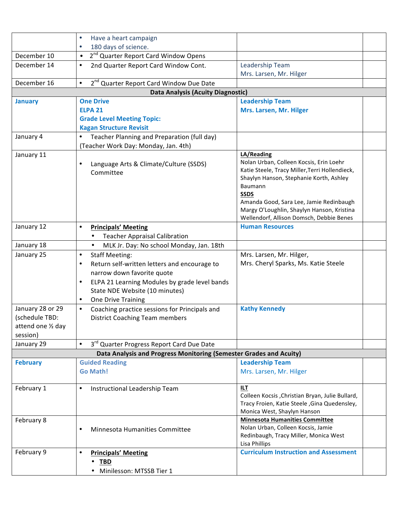|                                | Have a heart campaign<br>$\bullet$                                                  |                                                                                                                                                                                                                                                                                                                   |
|--------------------------------|-------------------------------------------------------------------------------------|-------------------------------------------------------------------------------------------------------------------------------------------------------------------------------------------------------------------------------------------------------------------------------------------------------------------|
|                                | 180 days of science.<br>$\bullet$                                                   |                                                                                                                                                                                                                                                                                                                   |
| December 10                    | 2 <sup>nd</sup> Quarter Report Card Window Opens<br>$\bullet$                       |                                                                                                                                                                                                                                                                                                                   |
| December 14                    | 2nd Quarter Report Card Window Cont.<br>$\bullet$                                   | Leadership Team                                                                                                                                                                                                                                                                                                   |
|                                |                                                                                     | Mrs. Larsen, Mr. Hilger                                                                                                                                                                                                                                                                                           |
| December 16                    | 2 <sup>nd</sup> Quarter Report Card Window Due Date<br>$\bullet$                    |                                                                                                                                                                                                                                                                                                                   |
|                                | <b>Data Analysis (Acuity Diagnostic)</b>                                            |                                                                                                                                                                                                                                                                                                                   |
| <b>January</b>                 | <b>One Drive</b>                                                                    | <b>Leadership Team</b>                                                                                                                                                                                                                                                                                            |
|                                | <b>ELPA 21</b>                                                                      | Mrs. Larsen, Mr. Hilger                                                                                                                                                                                                                                                                                           |
|                                | <b>Grade Level Meeting Topic:</b>                                                   |                                                                                                                                                                                                                                                                                                                   |
|                                | <b>Kagan Structure Revisit</b>                                                      |                                                                                                                                                                                                                                                                                                                   |
| January 4                      | Teacher Planning and Preparation (full day)<br>(Teacher Work Day: Monday, Jan. 4th) |                                                                                                                                                                                                                                                                                                                   |
| January 11                     | Language Arts & Climate/Culture (SSDS)<br>$\bullet$<br>Committee                    | LA/Reading<br>Nolan Urban, Colleen Kocsis, Erin Loehr<br>Katie Steele, Tracy Miller, Terri Hollendieck,<br>Shaylyn Hanson, Stephanie Korth, Ashley<br>Baumann<br><b>SSDS</b><br>Amanda Good, Sara Lee, Jamie Redinbaugh<br>Margy O'Loughlin, Shaylyn Hanson, Kristina<br>Wellendorf, Allison Domsch, Debbie Benes |
| January 12                     | <b>Principals' Meeting</b><br>$\bullet$<br><b>Teacher Appraisal Calibration</b>     | <b>Human Resources</b>                                                                                                                                                                                                                                                                                            |
| January 18                     | MLK Jr. Day: No school Monday, Jan. 18th<br>$\bullet$                               |                                                                                                                                                                                                                                                                                                                   |
| January 25                     | <b>Staff Meeting:</b><br>$\bullet$                                                  | Mrs. Larsen, Mr. Hilger,                                                                                                                                                                                                                                                                                          |
|                                | Return self-written letters and encourage to<br>$\bullet$                           | Mrs. Cheryl Sparks, Ms. Katie Steele                                                                                                                                                                                                                                                                              |
|                                | narrow down favorite quote                                                          |                                                                                                                                                                                                                                                                                                                   |
|                                | ELPA 21 Learning Modules by grade level bands<br>$\bullet$                          |                                                                                                                                                                                                                                                                                                                   |
|                                | State NDE Website (10 minutes)                                                      |                                                                                                                                                                                                                                                                                                                   |
|                                | One Drive Training<br>$\bullet$                                                     |                                                                                                                                                                                                                                                                                                                   |
| January 28 or 29               | Coaching practice sessions for Principals and<br>$\bullet$                          | <b>Kathy Kennedy</b>                                                                                                                                                                                                                                                                                              |
| (schedule TBD:                 | <b>District Coaching Team members</b>                                               |                                                                                                                                                                                                                                                                                                                   |
| attend one 1/2 day<br>session) |                                                                                     |                                                                                                                                                                                                                                                                                                                   |
| January 29                     | 3rd Quarter Progress Report Card Due Date<br>$\bullet$                              |                                                                                                                                                                                                                                                                                                                   |
|                                | Data Analysis and Progress Monitoring (Semester Grades and Acuity)                  |                                                                                                                                                                                                                                                                                                                   |
| <b>February</b>                | <b>Guided Reading</b>                                                               | <b>Leadership Team</b>                                                                                                                                                                                                                                                                                            |
|                                | <b>Go Math!</b>                                                                     | Mrs. Larsen, Mr. Hilger                                                                                                                                                                                                                                                                                           |
|                                |                                                                                     |                                                                                                                                                                                                                                                                                                                   |
| February 1                     | Instructional Leadership Team<br>$\bullet$                                          | ILT.                                                                                                                                                                                                                                                                                                              |
|                                |                                                                                     | Colleen Kocsis , Christian Bryan, Julie Bullard,                                                                                                                                                                                                                                                                  |
|                                |                                                                                     | Tracy Froien, Katie Steele, Gina Quedensley,                                                                                                                                                                                                                                                                      |
|                                |                                                                                     | Monica West, Shaylyn Hanson                                                                                                                                                                                                                                                                                       |
| February 8                     | $\bullet$                                                                           | <b>Minnesota Humanities Committee</b><br>Nolan Urban, Colleen Kocsis, Jamie                                                                                                                                                                                                                                       |
|                                | Minnesota Humanities Committee                                                      | Redinbaugh, Tracy Miller, Monica West                                                                                                                                                                                                                                                                             |
|                                |                                                                                     | Lisa Phillips                                                                                                                                                                                                                                                                                                     |
| February 9                     | $\bullet$<br><b>Principals' Meeting</b>                                             | <b>Curriculum Instruction and Assessment</b>                                                                                                                                                                                                                                                                      |
|                                | <b>TBD</b>                                                                          |                                                                                                                                                                                                                                                                                                                   |
|                                | Minilesson: MTSSB Tier 1                                                            |                                                                                                                                                                                                                                                                                                                   |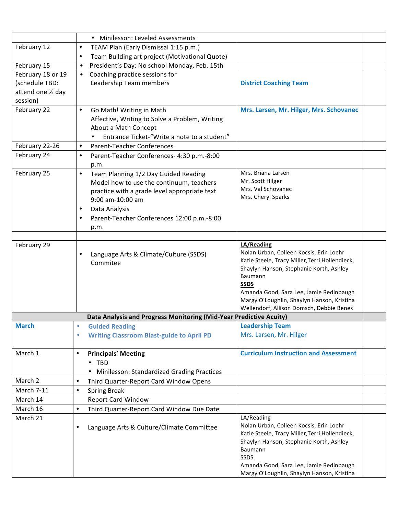|                    | • Minilesson: Leveled Assessments                                  |                                                                                           |  |
|--------------------|--------------------------------------------------------------------|-------------------------------------------------------------------------------------------|--|
| February 12        | TEAM Plan (Early Dismissal 1:15 p.m.)<br>$\bullet$                 |                                                                                           |  |
|                    | Team Building art project (Motivational Quote)                     |                                                                                           |  |
| February 15        | President's Day: No school Monday, Feb. 15th<br>$\bullet$          |                                                                                           |  |
| February 18 or 19  | Coaching practice sessions for<br>$\bullet$                        |                                                                                           |  |
| (schedule TBD:     | Leadership Team members                                            | <b>District Coaching Team</b>                                                             |  |
| attend one 1/2 day |                                                                    |                                                                                           |  |
| session)           |                                                                    |                                                                                           |  |
| February 22        | Go Math! Writing in Math<br>$\bullet$                              | Mrs. Larsen, Mr. Hilger, Mrs. Schovanec                                                   |  |
|                    | Affective, Writing to Solve a Problem, Writing                     |                                                                                           |  |
|                    | About a Math Concept                                               |                                                                                           |  |
|                    | Entrance Ticket-"Write a note to a student"<br>$\bullet$           |                                                                                           |  |
| February 22-26     | <b>Parent-Teacher Conferences</b><br>$\bullet$                     |                                                                                           |  |
| February 24        | Parent-Teacher Conferences- 4:30 p.m.-8:00<br>$\bullet$            |                                                                                           |  |
|                    | p.m.                                                               |                                                                                           |  |
| February 25        | Team Planning 1/2 Day Guided Reading<br>$\bullet$                  | Mrs. Briana Larsen                                                                        |  |
|                    | Model how to use the continuum, teachers                           | Mr. Scott Hilger                                                                          |  |
|                    | practice with a grade level appropriate text                       | Mrs. Val Schovanec<br>Mrs. Cheryl Sparks                                                  |  |
|                    | 9:00 am-10:00 am                                                   |                                                                                           |  |
|                    | Data Analysis<br>٠                                                 |                                                                                           |  |
|                    | Parent-Teacher Conferences 12:00 p.m.-8:00                         |                                                                                           |  |
|                    | p.m.                                                               |                                                                                           |  |
|                    |                                                                    |                                                                                           |  |
| February 29        |                                                                    | LA/Reading<br>Nolan Urban, Colleen Kocsis, Erin Loehr                                     |  |
|                    | Language Arts & Climate/Culture (SSDS)                             | Katie Steele, Tracy Miller, Terri Hollendieck,                                            |  |
|                    | Commitee                                                           | Shaylyn Hanson, Stephanie Korth, Ashley                                                   |  |
|                    |                                                                    | Baumann                                                                                   |  |
|                    |                                                                    | <b>SSDS</b>                                                                               |  |
|                    |                                                                    | Amanda Good, Sara Lee, Jamie Redinbaugh                                                   |  |
|                    |                                                                    | Margy O'Loughlin, Shaylyn Hanson, Kristina                                                |  |
|                    | Data Analysis and Progress Monitoring (Mid-Year Predictive Acuity) | Wellendorf, Allison Domsch, Debbie Benes                                                  |  |
| <b>March</b>       | <b>Guided Reading</b><br>۰                                         | <b>Leadership Team</b>                                                                    |  |
|                    | <b>Writing Classroom Blast-guide to April PD</b><br>$\bullet$      | Mrs. Larsen, Mr. Hilger                                                                   |  |
|                    |                                                                    |                                                                                           |  |
| March 1            | <b>Principals' Meeting</b><br>$\bullet$                            | <b>Curriculum Instruction and Assessment</b>                                              |  |
|                    | <b>TBD</b><br>٠                                                    |                                                                                           |  |
|                    | Minilesson: Standardized Grading Practices<br>٠                    |                                                                                           |  |
| March 2            | Third Quarter-Report Card Window Opens<br>$\bullet$                |                                                                                           |  |
| March 7-11         | <b>Spring Break</b><br>$\bullet$                                   |                                                                                           |  |
| March 14           | <b>Report Card Window</b>                                          |                                                                                           |  |
| March 16           | Third Quarter-Report Card Window Due Date<br>$\bullet$             |                                                                                           |  |
| March 21           |                                                                    | LA/Reading                                                                                |  |
|                    | Language Arts & Culture/Climate Committee<br>$\bullet$             | Nolan Urban, Colleen Kocsis, Erin Loehr                                                   |  |
|                    |                                                                    | Katie Steele, Tracy Miller, Terri Hollendieck,<br>Shaylyn Hanson, Stephanie Korth, Ashley |  |
|                    |                                                                    | Baumann                                                                                   |  |
|                    |                                                                    | SSDS                                                                                      |  |
|                    |                                                                    | Amanda Good, Sara Lee, Jamie Redinbaugh                                                   |  |
|                    |                                                                    | Margy O'Loughlin, Shaylyn Hanson, Kristina                                                |  |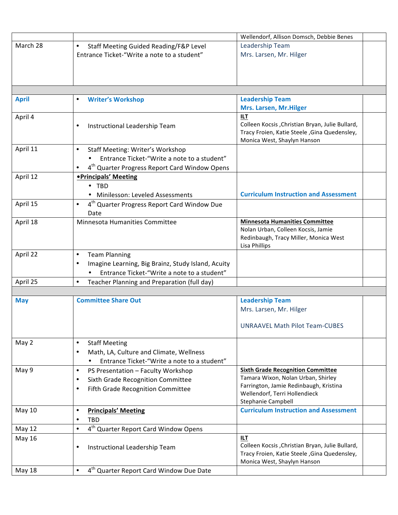|               |                                                                      | Wellendorf, Allison Domsch, Debbie Benes                                       |
|---------------|----------------------------------------------------------------------|--------------------------------------------------------------------------------|
| March 28      | $\bullet$<br>Staff Meeting Guided Reading/F&P Level                  | Leadership Team                                                                |
|               | Entrance Ticket-"Write a note to a student"                          | Mrs. Larsen, Mr. Hilger                                                        |
|               |                                                                      |                                                                                |
|               |                                                                      |                                                                                |
|               |                                                                      |                                                                                |
|               |                                                                      |                                                                                |
| <b>April</b>  | <b>Writer's Workshop</b><br>٠                                        | <b>Leadership Team</b>                                                         |
|               |                                                                      | Mrs. Larsen, Mr. Hilger                                                        |
| April 4       |                                                                      | <b>ILT</b>                                                                     |
|               | Instructional Leadership Team<br>٠                                   | Colleen Kocsis , Christian Bryan, Julie Bullard,                               |
|               |                                                                      | Tracy Froien, Katie Steele, Gina Quedensley,                                   |
|               |                                                                      | Monica West, Shaylyn Hanson                                                    |
| April 11      | <b>Staff Meeting: Writer's Workshop</b><br>٠                         |                                                                                |
|               | Entrance Ticket-"Write a note to a student"                          |                                                                                |
|               | 4 <sup>th</sup> Quarter Progress Report Card Window Opens            |                                                                                |
| April 12      | • Principals' Meeting                                                |                                                                                |
|               | $\cdot$ TBD                                                          |                                                                                |
|               | • Minilesson: Leveled Assessments                                    | <b>Curriculum Instruction and Assessment</b>                                   |
| April 15      | 4 <sup>th</sup> Quarter Progress Report Card Window Due<br>$\bullet$ |                                                                                |
|               | Date                                                                 |                                                                                |
| April 18      | Minnesota Humanities Committee                                       | <b>Minnesota Humanities Committee</b><br>Nolan Urban, Colleen Kocsis, Jamie    |
|               |                                                                      | Redinbaugh, Tracy Miller, Monica West                                          |
|               |                                                                      | Lisa Phillips                                                                  |
| April 22      | <b>Team Planning</b><br>$\bullet$                                    |                                                                                |
|               | Imagine Learning, Big Brainz, Study Island, Acuity                   |                                                                                |
|               | Entrance Ticket-"Write a note to a student"                          |                                                                                |
| April 25      | Teacher Planning and Preparation (full day)<br>$\bullet$             |                                                                                |
|               |                                                                      |                                                                                |
| <b>May</b>    | <b>Committee Share Out</b>                                           | <b>Leadership Team</b>                                                         |
|               |                                                                      | Mrs. Larsen, Mr. Hilger                                                        |
|               |                                                                      |                                                                                |
|               |                                                                      | <b>UNRAAVEL Math Pilot Team-CUBES</b>                                          |
|               |                                                                      |                                                                                |
| May 2         | <b>Staff Meeting</b><br>$\bullet$                                    |                                                                                |
|               | Math, LA, Culture and Climate, Wellness<br>٠                         |                                                                                |
|               | Entrance Ticket-"Write a note to a student"                          |                                                                                |
| May 9         | $\bullet$<br>PS Presentation - Faculty Workshop                      | <b>Sixth Grade Recognition Committee</b><br>Tamara Wixon, Nolan Urban, Shirley |
|               | Sixth Grade Recognition Committee<br>٠                               | Farrington, Jamie Redinbaugh, Kristina                                         |
|               | Fifth Grade Recognition Committee<br>٠                               | Wellendorf, Terri Hollendieck                                                  |
|               |                                                                      | Stephanie Campbell                                                             |
| <b>May 10</b> | <b>Principals' Meeting</b><br>$\bullet$                              | <b>Curriculum Instruction and Assessment</b>                                   |
|               | TBD<br>$\bullet$                                                     |                                                                                |
| May 12        | 4 <sup>th</sup> Quarter Report Card Window Opens<br>$\bullet$        |                                                                                |
| May 16        |                                                                      | <b>ILT</b>                                                                     |
|               | Instructional Leadership Team<br>٠                                   | Colleen Kocsis, Christian Bryan, Julie Bullard,                                |
|               |                                                                      | Tracy Froien, Katie Steele, Gina Quedensley,                                   |
|               |                                                                      | Monica West, Shaylyn Hanson                                                    |
| May 18        | 4 <sup>th</sup> Quarter Report Card Window Due Date<br>$\bullet$     |                                                                                |